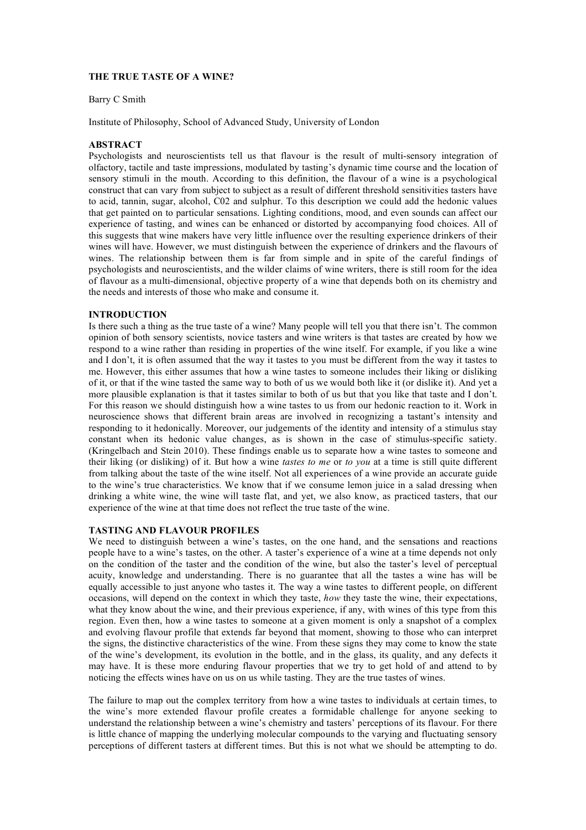# **THE TRUE TASTE OF A WINE?**

#### Barry C Smith

Institute of Philosophy, School of Advanced Study, University of London

## **ABSTRACT**

Psychologists and neuroscientists tell us that flavour is the result of multi-sensory integration of olfactory, tactile and taste impressions, modulated by tasting's dynamic time course and the location of sensory stimuli in the mouth. According to this definition, the flavour of a wine is a psychological construct that can vary from subject to subject as a result of different threshold sensitivities tasters have to acid, tannin, sugar, alcohol, C02 and sulphur. To this description we could add the hedonic values that get painted on to particular sensations. Lighting conditions, mood, and even sounds can affect our experience of tasting, and wines can be enhanced or distorted by accompanying food choices. All of this suggests that wine makers have very little influence over the resulting experience drinkers of their wines will have. However, we must distinguish between the experience of drinkers and the flavours of wines. The relationship between them is far from simple and in spite of the careful findings of psychologists and neuroscientists, and the wilder claims of wine writers, there is still room for the idea of flavour as a multi-dimensional, objective property of a wine that depends both on its chemistry and the needs and interests of those who make and consume it.

## **INTRODUCTION**

Is there such a thing as the true taste of a wine? Many people will tell you that there isn't. The common opinion of both sensory scientists, novice tasters and wine writers is that tastes are created by how we respond to a wine rather than residing in properties of the wine itself. For example, if you like a wine and I don't, it is often assumed that the way it tastes to you must be different from the way it tastes to me. However, this either assumes that how a wine tastes to someone includes their liking or disliking of it, or that if the wine tasted the same way to both of us we would both like it (or dislike it). And yet a more plausible explanation is that it tastes similar to both of us but that you like that taste and I don't. For this reason we should distinguish how a wine tastes to us from our hedonic reaction to it. Work in neuroscience shows that different brain areas are involved in recognizing a tastant's intensity and responding to it hedonically. Moreover, our judgements of the identity and intensity of a stimulus stay constant when its hedonic value changes, as is shown in the case of stimulus-specific satiety. (Kringelbach and Stein 2010). These findings enable us to separate how a wine tastes to someone and their liking (or disliking) of it. But how a wine *tastes to me* or *to you* at a time is still quite different from talking about the taste of the wine itself. Not all experiences of a wine provide an accurate guide to the wine's true characteristics. We know that if we consume lemon juice in a salad dressing when drinking a white wine, the wine will taste flat, and yet, we also know, as practiced tasters, that our experience of the wine at that time does not reflect the true taste of the wine.

### **TASTING AND FLAVOUR PROFILES**

We need to distinguish between a wine's tastes, on the one hand, and the sensations and reactions people have to a wine's tastes, on the other. A taster's experience of a wine at a time depends not only on the condition of the taster and the condition of the wine, but also the taster's level of perceptual acuity, knowledge and understanding. There is no guarantee that all the tastes a wine has will be equally accessible to just anyone who tastes it. The way a wine tastes to different people, on different occasions, will depend on the context in which they taste, *how* they taste the wine, their expectations, what they know about the wine, and their previous experience, if any, with wines of this type from this region. Even then, how a wine tastes to someone at a given moment is only a snapshot of a complex and evolving flavour profile that extends far beyond that moment, showing to those who can interpret the signs, the distinctive characteristics of the wine. From these signs they may come to know the state of the wine's development, its evolution in the bottle, and in the glass, its quality, and any defects it may have. It is these more enduring flavour properties that we try to get hold of and attend to by noticing the effects wines have on us on us while tasting. They are the true tastes of wines.

The failure to map out the complex territory from how a wine tastes to individuals at certain times, to the wine's more extended flavour profile creates a formidable challenge for anyone seeking to understand the relationship between a wine's chemistry and tasters' perceptions of its flavour. For there is little chance of mapping the underlying molecular compounds to the varying and fluctuating sensory perceptions of different tasters at different times. But this is not what we should be attempting to do.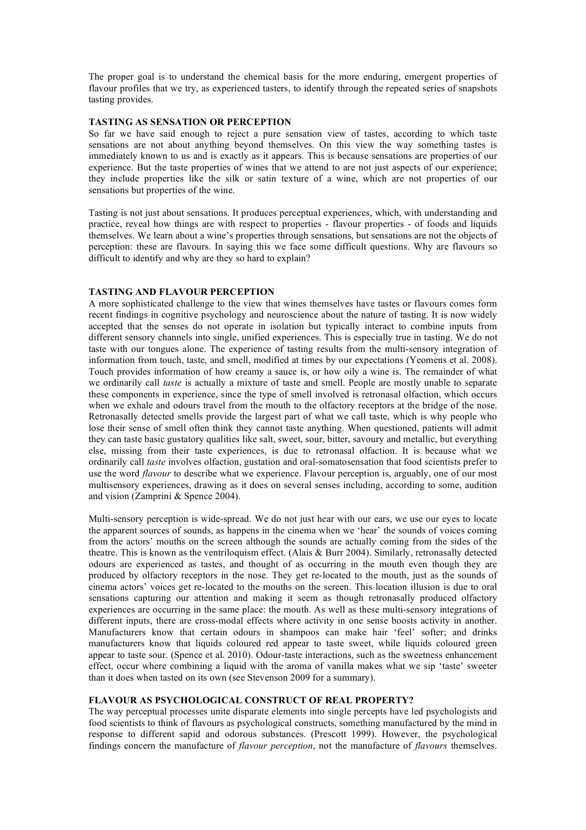The proper goal is to understand the chemical basis for the more enduring, emergent properties of flavour profiles that we try, as experienced tasters, to identify through the repeated series of snapshots tasting provides.

# **TASTING AS SENSATION OR PERCEPTION**

So far we have said enough to reject a pure sensation view of tastes, according to which taste sensations are not about anything beyond themselves. On this view the way something tastes is immediately known to us and is exactly as it appears. This is because sensations are properties of our experience. But the taste properties of wines that we attend to are not just aspects of our experience; they include properties like the silk or satin texture of a wine, which are not properties of our sensations but properties of the wine.

Tasting is not just about sensations. It produces perceptual experiences, which, with understanding and practice, reveal how things are with respect to properties - flavour properties - of foods and liquids themselves. We learn about a wine's properties through sensations, but sensations are not the objects of perception: these are flavours. In saying this we face some difficult questions. Why are flavours so difficult to identify and why are they so hard to explain?

# **TASTING AND FLAVOUR PERCEPTION**

A more sophisticated challenge to the view that wines themselves have tastes or flavours comes form recent findings in cognitive psychology and neuroscience about the nature of tasting. It is now widely accepted that the senses do not operate in isolation but typically interact to combine inputs from different sensory channels into single, unified experiences. This is especially true in tasting. We do not taste with our tongues alone. The experience of tasting results from the multi-sensory integration of information from touch, taste, and smell, modified at times by our expectations (Yeomens et al. 2008). Touch provides information of how creamy a sauce is, or how oily a wine is. The remainder of what we ordinarily call *taste* is actually a mixture of taste and smell. People are mostly unable to separate these components in experience, since the type of smell involved is retronasal olfaction, which occurs when we exhale and odours travel from the mouth to the olfactory receptors at the bridge of the nose. Retronasally detected smells provide the largest part of what we call taste, which is why people who lose their sense of smell often think they cannot taste anything. When questioned, patients will admit they can taste basic gustatory qualities like salt, sweet, sour, bitter, savoury and metallic, but everything else, missing from their taste experiences, is due to retronasal olfaction. It is because what we ordinarily call *taste* involves olfaction, gustation and oral-somatosensation that food scientists prefer to use the word *flavour* to describe what we experience. Flavour perception is, arguably, one of our most multisensory experiences, drawing as it does on several senses including, according to some, audition and vision (Zamprini & Spence 2004).

Multi-sensory perception is wide-spread. We do not just hear with our ears, we use our eyes to locate the apparent sources of sounds, as happens in the cinema when we 'hear' the sounds of voices coming from the actors' mouths on the screen although the sounds are actually coming from the sides of the theatre. This is known as the ventriloquism effect. (Alais & Burr 2004). Similarly, retronasally detected odours are experienced as tastes, and thought of as occurring in the mouth even though they are produced by olfactory receptors in the nose. They get re-located to the mouth, just as the sounds of cinema actors' voices get re-located to the mouths on the screen. This location illusion is due to oral sensations capturing our attention and making it seem as though retronasally produced olfactory experiences are occurring in the same place: the mouth. As well as these multi-sensory integrations of different inputs, there are cross-modal effects where activity in one sense boosts activity in another. Manufacturers know that certain odours in shampoos can make hair 'feel' softer; and drinks manufacturers know that liquids coloured red appear to taste sweet, while liquids coloured green appear to taste sour. (Spence et al. 2010). Odour-taste interactions, such as the sweetness enhancement effect, occur where combining a liquid with the aroma of vanilla makes what we sip 'taste' sweeter than it does when tasted on its own (see Stevenson 2009 for a summary).

## **FLAVOUR AS PSYCHOLOGICAL CONSTRUCT OF REAL PROPERTY?**

The way perceptual processes unite disparate elements into single percepts have led psychologists and food scientists to think of flavours as psychological constructs, something manufactured by the mind in response to different sapid and odorous substances. (Prescott 1999). However, the psychological findings concern the manufacture of *flavour perception*, not the manufacture of *flavours* themselves.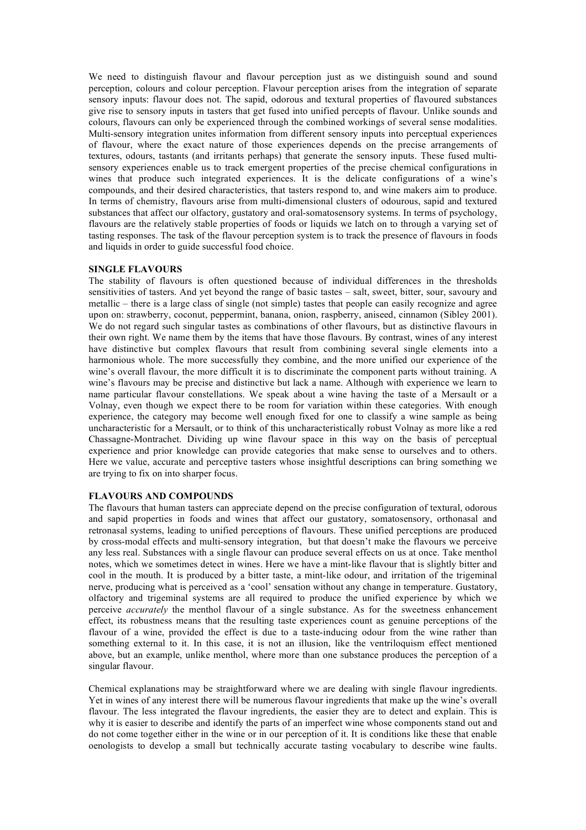We need to distinguish flavour and flavour perception just as we distinguish sound and sound perception, colours and colour perception. Flavour perception arises from the integration of separate sensory inputs: flavour does not. The sapid, odorous and textural properties of flavoured substances give rise to sensory inputs in tasters that get fused into unified percepts of flavour. Unlike sounds and colours, flavours can only be experienced through the combined workings of several sense modalities. Multi-sensory integration unites information from different sensory inputs into perceptual experiences of flavour, where the exact nature of those experiences depends on the precise arrangements of textures, odours, tastants (and irritants perhaps) that generate the sensory inputs. These fused multisensory experiences enable us to track emergent properties of the precise chemical configurations in wines that produce such integrated experiences. It is the delicate configurations of a wine's compounds, and their desired characteristics, that tasters respond to, and wine makers aim to produce. In terms of chemistry, flavours arise from multi-dimensional clusters of odourous, sapid and textured substances that affect our olfactory, gustatory and oral-somatosensory systems. In terms of psychology, flavours are the relatively stable properties of foods or liquids we latch on to through a varying set of tasting responses. The task of the flavour perception system is to track the presence of flavours in foods and liquids in order to guide successful food choice.

### **SINGLE FLAVOURS**

The stability of flavours is often questioned because of individual differences in the thresholds sensitivities of tasters. And yet beyond the range of basic tastes – salt, sweet, bitter, sour, savoury and metallic – there is a large class of single (not simple) tastes that people can easily recognize and agree upon on: strawberry, coconut, peppermint, banana, onion, raspberry, aniseed, cinnamon (Sibley 2001). We do not regard such singular tastes as combinations of other flavours, but as distinctive flavours in their own right. We name them by the items that have those flavours. By contrast, wines of any interest have distinctive but complex flavours that result from combining several single elements into a harmonious whole. The more successfully they combine, and the more unified our experience of the wine's overall flavour, the more difficult it is to discriminate the component parts without training. A wine's flavours may be precise and distinctive but lack a name. Although with experience we learn to name particular flavour constellations. We speak about a wine having the taste of a Mersault or a Volnay, even though we expect there to be room for variation within these categories. With enough experience, the category may become well enough fixed for one to classify a wine sample as being uncharacteristic for a Mersault, or to think of this uncharacteristically robust Volnay as more like a red Chassagne-Montrachet. Dividing up wine flavour space in this way on the basis of perceptual experience and prior knowledge can provide categories that make sense to ourselves and to others. Here we value, accurate and perceptive tasters whose insightful descriptions can bring something we are trying to fix on into sharper focus.

# **FLAVOURS AND COMPOUNDS**

The flavours that human tasters can appreciate depend on the precise configuration of textural, odorous and sapid properties in foods and wines that affect our gustatory, somatosensory, orthonasal and retronasal systems, leading to unified perceptions of flavours. These unified perceptions are produced by cross-modal effects and multi-sensory integration, but that doesn't make the flavours we perceive any less real. Substances with a single flavour can produce several effects on us at once. Take menthol notes, which we sometimes detect in wines. Here we have a mint-like flavour that is slightly bitter and cool in the mouth. It is produced by a bitter taste, a mint-like odour, and irritation of the trigeminal nerve, producing what is perceived as a 'cool' sensation without any change in temperature. Gustatory, olfactory and trigeminal systems are all required to produce the unified experience by which we perceive *accurately* the menthol flavour of a single substance. As for the sweetness enhancement effect, its robustness means that the resulting taste experiences count as genuine perceptions of the flavour of a wine, provided the effect is due to a taste-inducing odour from the wine rather than something external to it. In this case, it is not an illusion, like the ventriloquism effect mentioned above, but an example, unlike menthol, where more than one substance produces the perception of a singular flavour.

Chemical explanations may be straightforward where we are dealing with single flavour ingredients. Yet in wines of any interest there will be numerous flavour ingredients that make up the wine's overall flavour. The less integrated the flavour ingredients, the easier they are to detect and explain. This is why it is easier to describe and identify the parts of an imperfect wine whose components stand out and do not come together either in the wine or in our perception of it. It is conditions like these that enable oenologists to develop a small but technically accurate tasting vocabulary to describe wine faults.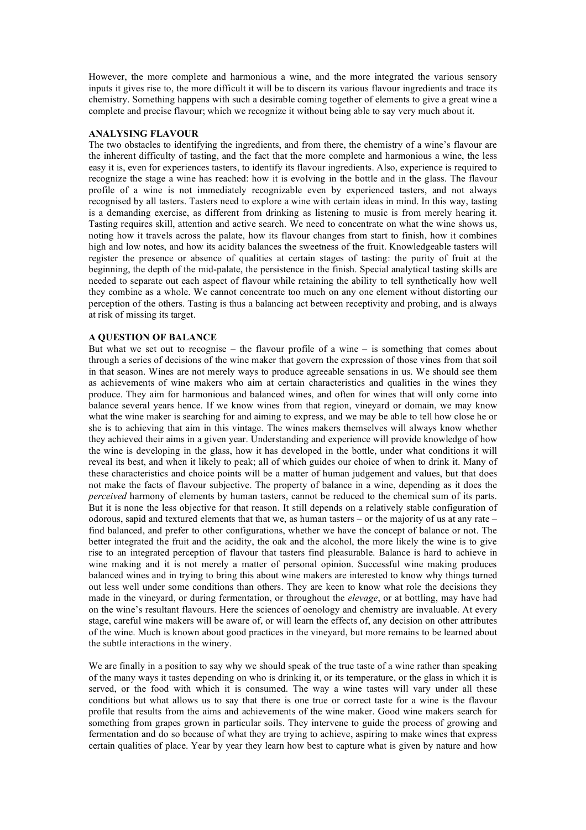However, the more complete and harmonious a wine, and the more integrated the various sensory inputs it gives rise to, the more difficult it will be to discern its various flavour ingredients and trace its chemistry. Something happens with such a desirable coming together of elements to give a great wine a complete and precise flavour; which we recognize it without being able to say very much about it.

#### **ANALYSING FLAVOUR**

The two obstacles to identifying the ingredients, and from there, the chemistry of a wine's flavour are the inherent difficulty of tasting, and the fact that the more complete and harmonious a wine, the less easy it is, even for experiences tasters, to identify its flavour ingredients. Also, experience is required to recognize the stage a wine has reached: how it is evolving in the bottle and in the glass. The flavour profile of a wine is not immediately recognizable even by experienced tasters, and not always recognised by all tasters. Tasters need to explore a wine with certain ideas in mind. In this way, tasting is a demanding exercise, as different from drinking as listening to music is from merely hearing it. Tasting requires skill, attention and active search. We need to concentrate on what the wine shows us, noting how it travels across the palate, how its flavour changes from start to finish, how it combines high and low notes, and how its acidity balances the sweetness of the fruit. Knowledgeable tasters will register the presence or absence of qualities at certain stages of tasting: the purity of fruit at the beginning, the depth of the mid-palate, the persistence in the finish. Special analytical tasting skills are needed to separate out each aspect of flavour while retaining the ability to tell synthetically how well they combine as a whole. We cannot concentrate too much on any one element without distorting our perception of the others. Tasting is thus a balancing act between receptivity and probing, and is always at risk of missing its target.

#### **A QUESTION OF BALANCE**

But what we set out to recognise – the flavour profile of a wine – is something that comes about through a series of decisions of the wine maker that govern the expression of those vines from that soil in that season. Wines are not merely ways to produce agreeable sensations in us. We should see them as achievements of wine makers who aim at certain characteristics and qualities in the wines they produce. They aim for harmonious and balanced wines, and often for wines that will only come into balance several years hence. If we know wines from that region, vineyard or domain, we may know what the wine maker is searching for and aiming to express, and we may be able to tell how close he or she is to achieving that aim in this vintage. The wines makers themselves will always know whether they achieved their aims in a given year. Understanding and experience will provide knowledge of how the wine is developing in the glass, how it has developed in the bottle, under what conditions it will reveal its best, and when it likely to peak; all of which guides our choice of when to drink it. Many of these characteristics and choice points will be a matter of human judgement and values, but that does not make the facts of flavour subjective. The property of balance in a wine, depending as it does the *perceived* harmony of elements by human tasters, cannot be reduced to the chemical sum of its parts. But it is none the less objective for that reason. It still depends on a relatively stable configuration of odorous, sapid and textured elements that that we, as human tasters – or the majority of us at any rate – find balanced, and prefer to other configurations, whether we have the concept of balance or not. The better integrated the fruit and the acidity, the oak and the alcohol, the more likely the wine is to give rise to an integrated perception of flavour that tasters find pleasurable. Balance is hard to achieve in wine making and it is not merely a matter of personal opinion. Successful wine making produces balanced wines and in trying to bring this about wine makers are interested to know why things turned out less well under some conditions than others. They are keen to know what role the decisions they made in the vineyard, or during fermentation, or throughout the *elevage*, or at bottling, may have had on the wine's resultant flavours. Here the sciences of oenology and chemistry are invaluable. At every stage, careful wine makers will be aware of, or will learn the effects of, any decision on other attributes of the wine. Much is known about good practices in the vineyard, but more remains to be learned about the subtle interactions in the winery.

We are finally in a position to say why we should speak of the true taste of a wine rather than speaking of the many ways it tastes depending on who is drinking it, or its temperature, or the glass in which it is served, or the food with which it is consumed. The way a wine tastes will vary under all these conditions but what allows us to say that there is one true or correct taste for a wine is the flavour profile that results from the aims and achievements of the wine maker. Good wine makers search for something from grapes grown in particular soils. They intervene to guide the process of growing and fermentation and do so because of what they are trying to achieve, aspiring to make wines that express certain qualities of place. Year by year they learn how best to capture what is given by nature and how